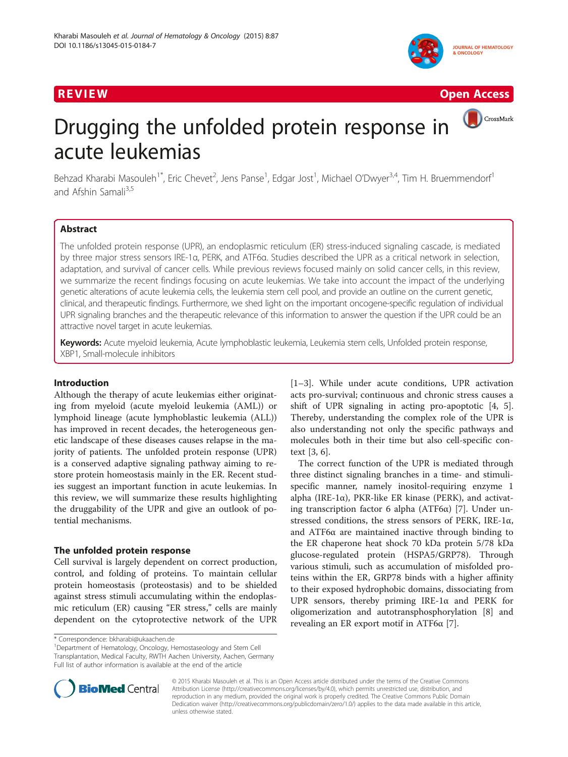# R EVI EW Open Access





# Drugging the unfolded protein response in acute leukemias

Behzad Kharabi Masouleh<sup>1\*</sup>, Eric Chevet<sup>2</sup>, Jens Panse<sup>1</sup>, Edgar Jost<sup>1</sup>, Michael O'Dwyer<sup>3,4</sup>, Tim H. Bruemmendorf<sup>1</sup> and Afshin Samali<sup>3,5</sup>

# Abstract

The unfolded protein response (UPR), an endoplasmic reticulum (ER) stress-induced signaling cascade, is mediated by three major stress sensors IRE-1α, PERK, and ATF6α. Studies described the UPR as a critical network in selection, adaptation, and survival of cancer cells. While previous reviews focused mainly on solid cancer cells, in this review, we summarize the recent findings focusing on acute leukemias. We take into account the impact of the underlying genetic alterations of acute leukemia cells, the leukemia stem cell pool, and provide an outline on the current genetic, clinical, and therapeutic findings. Furthermore, we shed light on the important oncogene-specific regulation of individual UPR signaling branches and the therapeutic relevance of this information to answer the question if the UPR could be an attractive novel target in acute leukemias.

Keywords: Acute myeloid leukemia, Acute lymphoblastic leukemia, Leukemia stem cells, Unfolded protein response, XBP1, Small-molecule inhibitors

## Introduction

Although the therapy of acute leukemias either originating from myeloid (acute myeloid leukemia (AML)) or lymphoid lineage (acute lymphoblastic leukemia (ALL)) has improved in recent decades, the heterogeneous genetic landscape of these diseases causes relapse in the majority of patients. The unfolded protein response (UPR) is a conserved adaptive signaling pathway aiming to restore protein homeostasis mainly in the ER. Recent studies suggest an important function in acute leukemias. In this review, we will summarize these results highlighting the druggability of the UPR and give an outlook of potential mechanisms.

## The unfolded protein response

Cell survival is largely dependent on correct production, control, and folding of proteins. To maintain cellular protein homeostasis (proteostasis) and to be shielded against stress stimuli accumulating within the endoplasmic reticulum (ER) causing "ER stress," cells are mainly dependent on the cytoprotective network of the UPR

<sup>1</sup>Department of Hematology, Oncology, Hemostaseology and Stem Cell

Transplantation, Medical Faculty, RWTH Aachen University, Aachen, Germany Full list of author information is available at the end of the article

[[1](#page-7-0)–[3\]](#page-7-0). While under acute conditions, UPR activation acts pro-survival; continuous and chronic stress causes a shift of UPR signaling in acting pro-apoptotic [[4, 5](#page-7-0)]. Thereby, understanding the complex role of the UPR is also understanding not only the specific pathways and molecules both in their time but also cell-specific context [\[3](#page-7-0), [6](#page-7-0)].

The correct function of the UPR is mediated through three distinct signaling branches in a time- and stimulispecific manner, namely inositol-requiring enzyme 1 alpha (IRE-1 $\alpha$ ), PKR-like ER kinase (PERK), and activat-ing transcription factor 6 alpha (ATF6α) [[7\]](#page-7-0). Under unstressed conditions, the stress sensors of PERK, IRE-1α, and ATF6α are maintained inactive through binding to the ER chaperone heat shock 70 kDa protein 5/78 kDa glucose-regulated protein (HSPA5/GRP78). Through various stimuli, such as accumulation of misfolded proteins within the ER, GRP78 binds with a higher affinity to their exposed hydrophobic domains, dissociating from UPR sensors, thereby priming IRE-1α and PERK for oligomerization and autotransphosphorylation [\[8](#page-7-0)] and revealing an ER export motif in ATF6α [\[7](#page-7-0)].



© 2015 Kharabi Masouleh et al. This is an Open Access article distributed under the terms of the Creative Commons Attribution License (<http://creativecommons.org/licenses/by/4.0>), which permits unrestricted use, distribution, and reproduction in any medium, provided the original work is properly credited. The Creative Commons Public Domain Dedication waiver [\(http://creativecommons.org/publicdomain/zero/1.0/](http://creativecommons.org/publicdomain/zero/1.0/)) applies to the data made available in this article, unless otherwise stated.

<sup>\*</sup> Correspondence: [bkharabi@ukaachen.de](mailto:bkharabi@ukaachen.de) <sup>1</sup>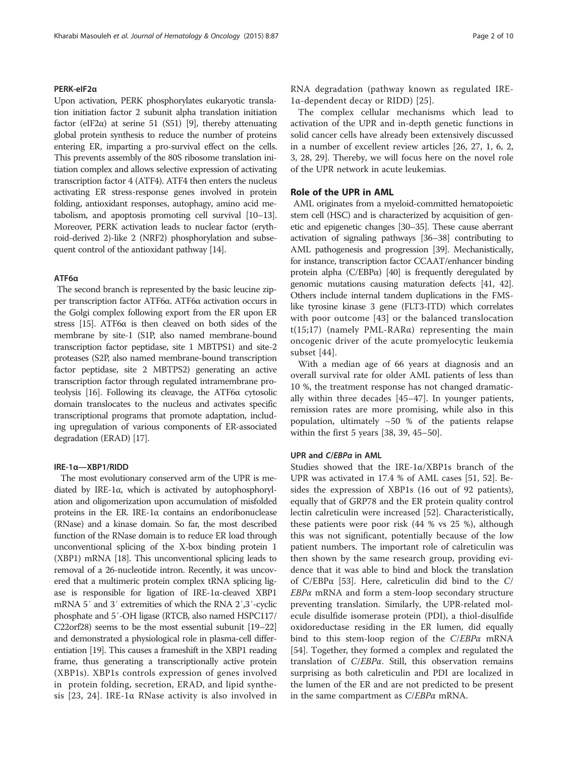#### PERK-eIF2α

Upon activation, PERK phosphorylates eukaryotic translation initiation factor 2 subunit alpha translation initiation factor (eIF2 $\alpha$ ) at serine 51 (S51) [\[9\]](#page-7-0), thereby attenuating global protein synthesis to reduce the number of proteins entering ER, imparting a pro-survival effect on the cells. This prevents assembly of the 80S ribosome translation initiation complex and allows selective expression of activating transcription factor 4 (ATF4). ATF4 then enters the nucleus activating ER stress-response genes involved in protein folding, antioxidant responses, autophagy, amino acid metabolism, and apoptosis promoting cell survival [[10](#page-7-0)–[13](#page-7-0)]. Moreover, PERK activation leads to nuclear factor (erythroid-derived 2)-like 2 (NRF2) phosphorylation and subsequent control of the antioxidant pathway [[14](#page-7-0)].

#### ATF6α

The second branch is represented by the basic leucine zipper transcription factor ATF6α. ATF6α activation occurs in the Golgi complex following export from the ER upon ER stress [\[15](#page-7-0)]. ATF6 $\alpha$  is then cleaved on both sides of the membrane by site-1 (S1P, also named membrane-bound transcription factor peptidase, site 1 MBTPS1) and site-2 proteases (S2P, also named membrane-bound transcription factor peptidase, site 2 MBTPS2) generating an active transcription factor through regulated intramembrane proteolysis [[16](#page-7-0)]. Following its cleavage, the ATF6α cytosolic domain translocates to the nucleus and activates specific transcriptional programs that promote adaptation, including upregulation of various components of ER-associated degradation (ERAD) [\[17\]](#page-7-0).

#### IRE-1α—XBP1/RIDD

The most evolutionary conserved arm of the UPR is mediated by IRE-1α, which is activated by autophosphorylation and oligomerization upon accumulation of misfolded proteins in the ER. IRE-1α contains an endoribonuclease (RNase) and a kinase domain. So far, the most described function of the RNase domain is to reduce ER load through unconventional splicing of the X-box binding protein 1 (XBP1) mRNA [\[18](#page-7-0)]. This unconventional splicing leads to removal of a 26-nucleotide intron. Recently, it was uncovered that a multimeric protein complex tRNA splicing ligase is responsible for ligation of IRE-1α-cleaved XBP1 mRNA 5′ and 3′ extremities of which the RNA 2′,3′-cyclic phosphate and 5′-OH ligase (RTCB, also named HSPC117/ C22orf28) seems to be the most essential subunit [[19](#page-7-0)–[22](#page-7-0)] and demonstrated a physiological role in plasma-cell differentiation [\[19](#page-7-0)]. This causes a frameshift in the XBP1 reading frame, thus generating a transcriptionally active protein (XBP1s). XBP1s controls expression of genes involved in protein folding, secretion, ERAD, and lipid synthesis [[23, 24\]](#page-7-0). IRE-1α RNase activity is also involved in RNA degradation (pathway known as regulated IRE-1α-dependent decay or RIDD) [[25\]](#page-7-0).

The complex cellular mechanisms which lead to activation of the UPR and in-depth genetic functions in solid cancer cells have already been extensively discussed in a number of excellent review articles [\[26](#page-7-0), [27, 1, 6, 2](#page-7-0), [3, 28](#page-7-0), [29](#page-7-0)]. Thereby, we will focus here on the novel role of the UPR network in acute leukemias.

## Role of the UPR in AML

AML originates from a myeloid-committed hematopoietic stem cell (HSC) and is characterized by acquisition of genetic and epigenetic changes [[30](#page-7-0)–[35](#page-7-0)]. These cause aberrant activation of signaling pathways [\[36](#page-7-0)–[38\]](#page-7-0) contributing to AML pathogenesis and progression [\[39](#page-7-0)]. Mechanistically, for instance, transcription factor CCAAT/enhancer binding protein alpha ( $C/EBP\alpha$ ) [[40](#page-7-0)] is frequently deregulated by genomic mutations causing maturation defects [\[41, 42](#page-7-0)]. Others include internal tandem duplications in the FMSlike tyrosine kinase 3 gene (FLT3-ITD) which correlates with poor outcome [[43\]](#page-7-0) or the balanced translocation t(15;17) (namely PML-RARα) representing the main oncogenic driver of the acute promyelocytic leukemia subset [[44\]](#page-7-0).

With a median age of 66 years at diagnosis and an overall survival rate for older AML patients of less than 10 %, the treatment response has not changed dramatically within three decades [\[45](#page-7-0)–[47\]](#page-7-0). In younger patients, remission rates are more promising, while also in this population, ultimately  $\sim$  50 % of the patients relapse within the first 5 years [[38, 39, 45](#page-7-0)–[50](#page-8-0)].

# UPR and C/EBPα in AML

Studies showed that the IRE-1α/XBP1s branch of the UPR was activated in 17.4 % of AML cases [[51, 52](#page-8-0)]. Besides the expression of XBP1s (16 out of 92 patients), equally that of GRP78 and the ER protein quality control lectin calreticulin were increased [\[52](#page-8-0)]. Characteristically, these patients were poor risk (44 % vs 25 %), although this was not significant, potentially because of the low patient numbers. The important role of calreticulin was then shown by the same research group, providing evidence that it was able to bind and block the translation of C/EBPα [\[53](#page-8-0)]. Here, calreticulin did bind to the C/ EBPα mRNA and form a stem-loop secondary structure preventing translation. Similarly, the UPR-related molecule disulfide isomerase protein (PDI), a thiol-disulfide oxidoreductase residing in the ER lumen, did equally bind to this stem-loop region of the C/EBPα mRNA [[54\]](#page-8-0). Together, they formed a complex and regulated the translation of C/EBPα. Still, this observation remains surprising as both calreticulin and PDI are localized in the lumen of the ER and are not predicted to be present in the same compartment as C/EBPα mRNA.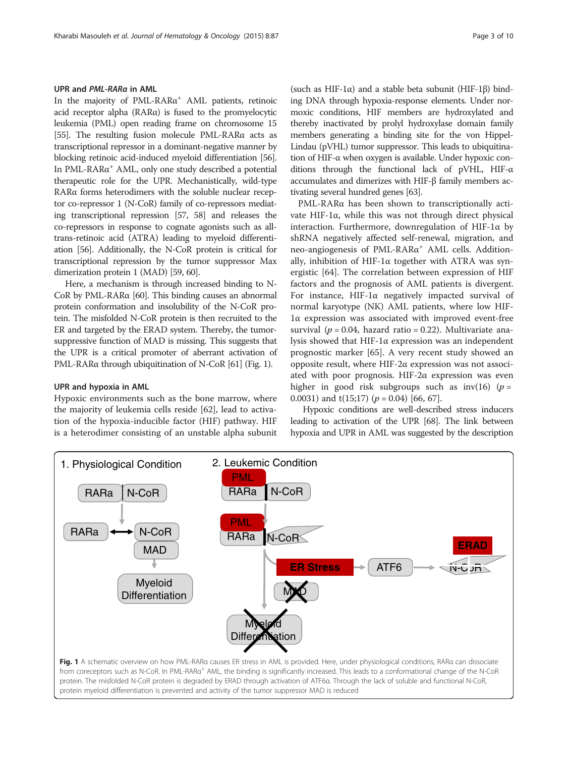#### UPR and PML-RARα in AML

In the majority of PML-RAR $\alpha^+$  AML patients, retinoic acid receptor alpha  $(RAR\alpha)$  is fused to the promyelocytic leukemia (PML) open reading frame on chromosome 15 [[55](#page-8-0)]. The resulting fusion molecule PML-RARα acts as transcriptional repressor in a dominant-negative manner by blocking retinoic acid-induced myeloid differentiation [\[56](#page-8-0)]. In PML-RAR $\alpha^+$  AML, only one study described a potential therapeutic role for the UPR. Mechanistically, wild-type RARα forms heterodimers with the soluble nuclear receptor co-repressor 1 (N-CoR) family of co-repressors mediating transcriptional repression [\[57, 58\]](#page-8-0) and releases the co-repressors in response to cognate agonists such as alltrans-retinoic acid (ATRA) leading to myeloid differentiation [[56](#page-8-0)]. Additionally, the N-CoR protein is critical for transcriptional repression by the tumor suppressor Max dimerization protein 1 (MAD) [\[59, 60\]](#page-8-0).

Here, a mechanism is through increased binding to N-CoR by PML-RAR $\alpha$  [\[60](#page-8-0)]. This binding causes an abnormal protein conformation and insolubility of the N-CoR protein. The misfolded N-CoR protein is then recruited to the ER and targeted by the ERAD system. Thereby, the tumorsuppressive function of MAD is missing. This suggests that the UPR is a critical promoter of aberrant activation of PML-RARα through ubiquitination of N-CoR [[61](#page-8-0)] (Fig. 1).

#### UPR and hypoxia in AML

Hypoxic environments such as the bone marrow, where the majority of leukemia cells reside [\[62](#page-8-0)], lead to activation of the hypoxia-inducible factor (HIF) pathway. HIF is a heterodimer consisting of an unstable alpha subunit (such as HIF-1 $\alpha$ ) and a stable beta subunit (HIF-1 $\beta$ ) binding DNA through hypoxia-response elements. Under normoxic conditions, HIF members are hydroxylated and thereby inactivated by prolyl hydroxylase domain family members generating a binding site for the von Hippel-Lindau (pVHL) tumor suppressor. This leads to ubiquitination of HIF-α when oxygen is available. Under hypoxic conditions through the functional lack of pVHL, HIF-α accumulates and dimerizes with HIF-β family members activating several hundred genes [[63](#page-8-0)].

PML-RARα has been shown to transcriptionally activate HIF-1α, while this was not through direct physical interaction. Furthermore, downregulation of HIF-1α by shRNA negatively affected self-renewal, migration, and neo-angiogenesis of PML-RARα<sup>+</sup> AML cells. Additionally, inhibition of HIF-1α together with ATRA was synergistic [[64](#page-8-0)]. The correlation between expression of HIF factors and the prognosis of AML patients is divergent. For instance, HIF-1α negatively impacted survival of normal karyotype (NK) AML patients, where low HIF-1α expression was associated with improved event-free survival ( $p = 0.04$ , hazard ratio = 0.22). Multivariate analysis showed that HIF-1α expression was an independent prognostic marker [\[65\]](#page-8-0). A very recent study showed an opposite result, where HIF-2α expression was not associated with poor prognosis. HIF-2α expression was even higher in good risk subgroups such as  $inv(16)$  ( $p =$ 0.0031) and  $t(15;17)$  ( $p = 0.04$ ) [[66, 67](#page-8-0)].

Hypoxic conditions are well-described stress inducers leading to activation of the UPR [\[68\]](#page-8-0). The link between hypoxia and UPR in AML was suggested by the description

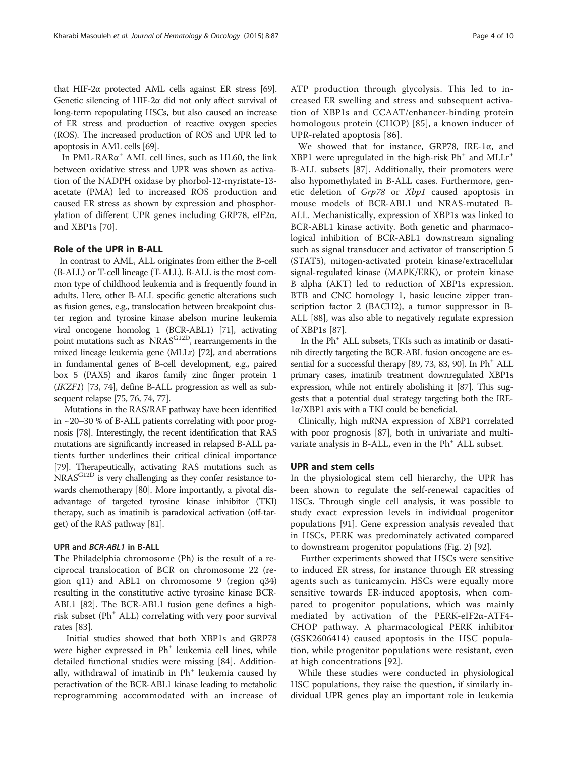that HIF-2α protected AML cells against ER stress [\[69](#page-8-0)]. Genetic silencing of HIF-2α did not only affect survival of long-term repopulating HSCs, but also caused an increase of ER stress and production of reactive oxygen species (ROS). The increased production of ROS and UPR led to apoptosis in AML cells [\[69\]](#page-8-0).

In PML-RAR $\alpha^+$  AML cell lines, such as HL60, the link between oxidative stress and UPR was shown as activation of the NADPH oxidase by phorbol-12-myristate-13 acetate (PMA) led to increased ROS production and caused ER stress as shown by expression and phosphorylation of different UPR genes including GRP78, eIF2α, and XBP1s [[70](#page-8-0)].

## Role of the UPR in B-ALL

In contrast to AML, ALL originates from either the B-cell (B-ALL) or T-cell lineage (T-ALL). B-ALL is the most common type of childhood leukemia and is frequently found in adults. Here, other B-ALL specific genetic alterations such as fusion genes, e.g., translocation between breakpoint cluster region and tyrosine kinase abelson murine leukemia viral oncogene homolog 1 (BCR-ABL1) [[71](#page-8-0)], activating point mutations such as NRASG12D, rearrangements in the mixed lineage leukemia gene (MLLr) [\[72](#page-8-0)], and aberrations in fundamental genes of B-cell development, e.g., paired box 5 (PAX5) and ikaros family zinc finger protein 1 (IKZF1) [\[73, 74](#page-8-0)], define B-ALL progression as well as subsequent relapse [\[75, 76, 74, 77\]](#page-8-0).

Mutations in the RAS/RAF pathway have been identified in ~20–30 % of B-ALL patients correlating with poor prognosis [\[78](#page-8-0)]. Interestingly, the recent identification that RAS mutations are significantly increased in relapsed B-ALL patients further underlines their critical clinical importance [[79](#page-8-0)]. Therapeutically, activating RAS mutations such as NRASG12D is very challenging as they confer resistance towards chemotherapy [\[80](#page-8-0)]. More importantly, a pivotal disadvantage of targeted tyrosine kinase inhibitor (TKI) therapy, such as imatinib is paradoxical activation (off-target) of the RAS pathway [[81](#page-8-0)].

#### UPR and BCR-ABL1 in B-ALL

The Philadelphia chromosome (Ph) is the result of a reciprocal translocation of BCR on chromosome 22 (region q11) and ABL1 on chromosome 9 (region q34) resulting in the constitutive active tyrosine kinase BCR-ABL1 [\[82\]](#page-8-0). The BCR-ABL1 fusion gene defines a highrisk subset (Ph<sup>+</sup> ALL) correlating with very poor survival rates [\[83](#page-8-0)].

Initial studies showed that both XBP1s and GRP78 were higher expressed in Ph<sup>+</sup> leukemia cell lines, while detailed functional studies were missing [[84](#page-8-0)]. Additionally, withdrawal of imatinib in  $Ph<sup>+</sup>$  leukemia caused hy peractivation of the BCR-ABL1 kinase leading to metabolic reprogramming accommodated with an increase of ATP production through glycolysis. This led to increased ER swelling and stress and subsequent activation of XBP1s and CCAAT/enhancer-binding protein homologous protein (CHOP) [[85](#page-8-0)], a known inducer of UPR-related apoptosis [[86](#page-8-0)].

We showed that for instance, GRP78, IRE-1α, and XBP1 were upregulated in the high-risk  $Ph<sup>+</sup>$  and  $MLLr<sup>+</sup>$ B-ALL subsets [\[87](#page-8-0)]. Additionally, their promoters were also hypomethylated in B-ALL cases. Furthermore, genetic deletion of Grp78 or Xbp1 caused apoptosis in mouse models of BCR-ABL1 und NRAS-mutated B-ALL. Mechanistically, expression of XBP1s was linked to BCR-ABL1 kinase activity. Both genetic and pharmacological inhibition of BCR-ABL1 downstream signaling such as signal transducer and activator of transcription 5 (STAT5), mitogen-activated protein kinase/extracellular signal-regulated kinase (MAPK/ERK), or protein kinase B alpha (AKT) led to reduction of XBP1s expression. BTB and CNC homology 1, basic leucine zipper transcription factor 2 (BACH2), a tumor suppressor in B-ALL [\[88\]](#page-8-0), was also able to negatively regulate expression of XBP1s [[87](#page-8-0)].

In the Ph<sup>+</sup> ALL subsets, TKIs such as imatinib or dasatinib directly targeting the BCR-ABL fusion oncogene are es-sential for a successful therapy [\[89, 73](#page-8-0), [83, 90](#page-8-0)]. In Ph<sup>+</sup> ALL primary cases, imatinib treatment downregulated XBP1s expression, while not entirely abolishing it [\[87\]](#page-8-0). This suggests that a potential dual strategy targeting both the IRE-1α/XBP1 axis with a TKI could be beneficial.

Clinically, high mRNA expression of XBP1 correlated with poor prognosis [\[87\]](#page-8-0), both in univariate and multivariate analysis in B-ALL, even in the Ph<sup>+</sup> ALL subset.

#### UPR and stem cells

In the physiological stem cell hierarchy, the UPR has been shown to regulate the self-renewal capacities of HSCs. Through single cell analysis, it was possible to study exact expression levels in individual progenitor populations [\[91](#page-9-0)]. Gene expression analysis revealed that in HSCs, PERK was predominately activated compared to downstream progenitor populations (Fig. [2](#page-4-0)) [[92\]](#page-9-0).

Further experiments showed that HSCs were sensitive to induced ER stress, for instance through ER stressing agents such as tunicamycin. HSCs were equally more sensitive towards ER-induced apoptosis, when compared to progenitor populations, which was mainly mediated by activation of the PERK-eIF2α-ATF4- CHOP pathway. A pharmacological PERK inhibitor (GSK2606414) caused apoptosis in the HSC population, while progenitor populations were resistant, even at high concentrations [[92\]](#page-9-0).

While these studies were conducted in physiological HSC populations, they raise the question, if similarly individual UPR genes play an important role in leukemia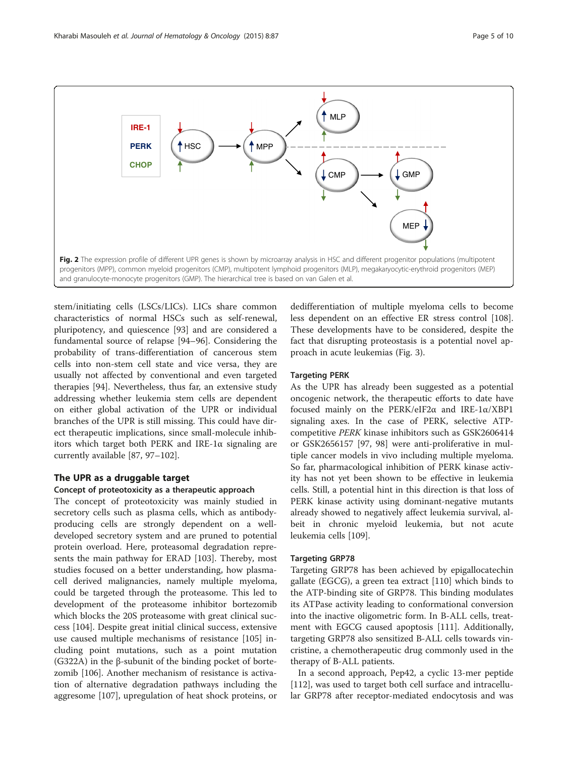<span id="page-4-0"></span>

stem/initiating cells (LSCs/LICs). LICs share common characteristics of normal HSCs such as self-renewal, pluripotency, and quiescence [\[93\]](#page-9-0) and are considered a fundamental source of relapse [[94](#page-9-0)–[96](#page-9-0)]. Considering the probability of trans-differentiation of cancerous stem cells into non-stem cell state and vice versa, they are usually not affected by conventional and even targeted therapies [\[94](#page-9-0)]. Nevertheless, thus far, an extensive study addressing whether leukemia stem cells are dependent on either global activation of the UPR or individual branches of the UPR is still missing. This could have direct therapeutic implications, since small-molecule inhibitors which target both PERK and IRE-1 $\alpha$  signaling are currently available [[87](#page-8-0), [97](#page-9-0)–[102\]](#page-9-0).

#### The UPR as a druggable target

#### Concept of proteotoxicity as a therapeutic approach

The concept of proteotoxicity was mainly studied in secretory cells such as plasma cells, which as antibodyproducing cells are strongly dependent on a welldeveloped secretory system and are pruned to potential protein overload. Here, proteasomal degradation represents the main pathway for ERAD [\[103\]](#page-9-0). Thereby, most studies focused on a better understanding, how plasmacell derived malignancies, namely multiple myeloma, could be targeted through the proteasome. This led to development of the proteasome inhibitor bortezomib which blocks the 20S proteasome with great clinical success [\[104\]](#page-9-0). Despite great initial clinical success, extensive use caused multiple mechanisms of resistance [\[105\]](#page-9-0) including point mutations, such as a point mutation (G322A) in the β-subunit of the binding pocket of bortezomib [\[106](#page-9-0)]. Another mechanism of resistance is activation of alternative degradation pathways including the aggresome [\[107](#page-9-0)], upregulation of heat shock proteins, or dedifferentiation of multiple myeloma cells to become less dependent on an effective ER stress control [[108](#page-9-0)]. These developments have to be considered, despite the fact that disrupting proteostasis is a potential novel approach in acute leukemias (Fig. [3](#page-5-0)).

#### Targeting PERK

As the UPR has already been suggested as a potential oncogenic network, the therapeutic efforts to date have focused mainly on the PERK/eIF2α and IRE-1α/XBP1 signaling axes. In the case of PERK, selective ATPcompetitive PERK kinase inhibitors such as GSK2606414 or GSK2656157 [\[97, 98\]](#page-9-0) were anti-proliferative in multiple cancer models in vivo including multiple myeloma. So far, pharmacological inhibition of PERK kinase activity has not yet been shown to be effective in leukemia cells. Still, a potential hint in this direction is that loss of PERK kinase activity using dominant-negative mutants already showed to negatively affect leukemia survival, albeit in chronic myeloid leukemia, but not acute leukemia cells [\[109\]](#page-9-0).

#### Targeting GRP78

Targeting GRP78 has been achieved by epigallocatechin gallate (EGCG), a green tea extract [\[110\]](#page-9-0) which binds to the ATP-binding site of GRP78. This binding modulates its ATPase activity leading to conformational conversion into the inactive oligometric form. In B-ALL cells, treatment with EGCG caused apoptosis [[111\]](#page-9-0). Additionally, targeting GRP78 also sensitized B-ALL cells towards vincristine, a chemotherapeutic drug commonly used in the therapy of B-ALL patients.

In a second approach, Pep42, a cyclic 13-mer peptide [[112\]](#page-9-0), was used to target both cell surface and intracellular GRP78 after receptor-mediated endocytosis and was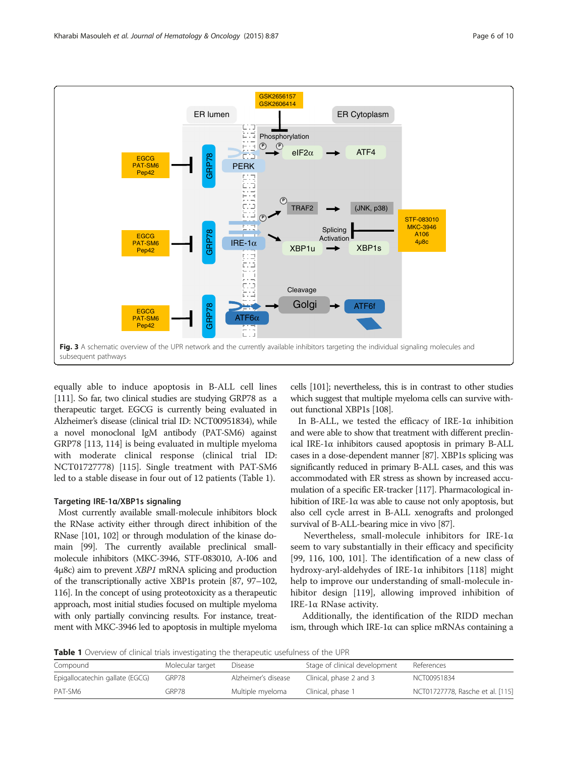<span id="page-5-0"></span>

equally able to induce apoptosis in B-ALL cell lines [[111\]](#page-9-0). So far, two clinical studies are studying GRP78 as a therapeutic target. EGCG is currently being evaluated in Alzheimer's disease (clinical trial ID: NCT00951834), while a novel monoclonal IgM antibody (PAT-SM6) against GRP78 [\[113, 114](#page-9-0)] is being evaluated in multiple myeloma with moderate clinical response (clinical trial ID: NCT01727778) [\[115\]](#page-9-0). Single treatment with PAT-SM6 led to a stable disease in four out of 12 patients (Table 1).

#### Targeting IRE-1α/XBP1s signaling

Most currently available small-molecule inhibitors block the RNase activity either through direct inhibition of the RNase [\[101](#page-9-0), [102\]](#page-9-0) or through modulation of the kinase domain [[99\]](#page-9-0). The currently available preclinical smallmolecule inhibitors (MKC-3946, STF-083010, A-I06 and 4μ8c) aim to prevent XBP1 mRNA splicing and production of the transcriptionally active XBP1s protein [[87](#page-8-0), [97](#page-9-0)–[102](#page-9-0), [116\]](#page-9-0). In the concept of using proteotoxicity as a therapeutic approach, most initial studies focused on multiple myeloma with only partially convincing results. For instance, treatment with MKC-3946 led to apoptosis in multiple myeloma cells [[101\]](#page-9-0); nevertheless, this is in contrast to other studies which suggest that multiple myeloma cells can survive without functional XBP1s [\[108](#page-9-0)].

In B-ALL, we tested the efficacy of IRE-1α inhibition and were able to show that treatment with different preclinical IRE-1α inhibitors caused apoptosis in primary B-ALL cases in a dose-dependent manner [[87](#page-8-0)]. XBP1s splicing was significantly reduced in primary B-ALL cases, and this was accommodated with ER stress as shown by increased accumulation of a specific ER-tracker [[117\]](#page-9-0). Pharmacological inhibition of IRE-1 $\alpha$  was able to cause not only apoptosis, but also cell cycle arrest in B-ALL xenografts and prolonged survival of B-ALL-bearing mice in vivo [\[87\]](#page-8-0).

Nevertheless, small-molecule inhibitors for IRE-1α seem to vary substantially in their efficacy and specificity [[99, 116](#page-9-0), [100](#page-9-0), [101\]](#page-9-0). The identification of a new class of hydroxy-aryl-aldehydes of IRE-1α inhibitors [\[118\]](#page-9-0) might help to improve our understanding of small-molecule inhibitor design [[119](#page-9-0)], allowing improved inhibition of IRE-1α RNase activity.

Additionally, the identification of the RIDD mechan ism, through which IRE-1α can splice mRNAs containing a

Table 1 Overview of clinical trials investigating the therapeutic usefulness of the UPR

| Compound                        | Molecular target | Disease             | Stage of clinical development | References                       |
|---------------------------------|------------------|---------------------|-------------------------------|----------------------------------|
| Epigallocatechin gallate (EGCG) | GRP78            | Alzheimer's disease | Clinical, phase 2 and 3       | NCT00951834                      |
| PAT-SM6                         | GRP78            | Multiple myeloma    | Clinical, phase 1             | NCT01727778, Rasche et al. [115] |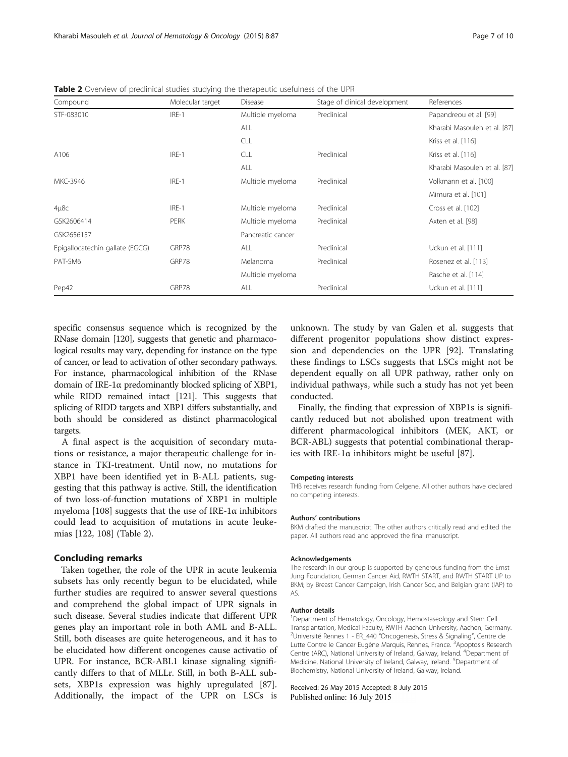| Compound                        | Molecular target | <b>Disease</b>    | Stage of clinical development | References                   |
|---------------------------------|------------------|-------------------|-------------------------------|------------------------------|
| STF-083010                      | IRE-1            | Multiple myeloma  | Preclinical                   | Papandreou et al. [99]       |
|                                 |                  | <b>ALL</b>        |                               | Kharabi Masouleh et al. [87] |
|                                 |                  | <b>CLL</b>        |                               | Kriss et al. [116]           |
| A106                            | IRE-1            | CLL               | Preclinical                   | Kriss et al. [116]           |
|                                 |                  | ALL               |                               | Kharabi Masouleh et al. [87] |
| MKC-3946                        | IRE-1            | Multiple myeloma  | Preclinical                   | Volkmann et al. [100]        |
|                                 |                  |                   |                               | Mimura et al. [101]          |
| $4\mu$ 8 $c$                    | IRE-1            | Multiple myeloma  | Preclinical                   | Cross et al. [102]           |
| GSK2606414                      | <b>PERK</b>      | Multiple myeloma  | Preclinical                   | Axten et al. [98]            |
| GSK2656157                      |                  | Pancreatic cancer |                               |                              |
| Epigallocatechin gallate (EGCG) | GRP78            | <b>ALL</b>        | Preclinical                   | Uckun et al. [111]           |
| PAT-SM6                         | GRP78            | Melanoma          | Preclinical                   | Rosenez et al. [113]         |
|                                 |                  | Multiple myeloma  |                               | Rasche et al. [114]          |
| Pep42                           | GRP78            | <b>ALL</b>        | Preclinical                   | Uckun et al. [111]           |

Table 2 Overview of preclinical studies studying the therapeutic usefulness of the UPR

specific consensus sequence which is recognized by the RNase domain [[120\]](#page-9-0), suggests that genetic and pharmacological results may vary, depending for instance on the type of cancer, or lead to activation of other secondary pathways. For instance, pharmacological inhibition of the RNase domain of IRE-1α predominantly blocked splicing of XBP1, while RIDD remained intact [\[121](#page-9-0)]. This suggests that splicing of RIDD targets and XBP1 differs substantially, and both should be considered as distinct pharmacological targets.

A final aspect is the acquisition of secondary mutations or resistance, a major therapeutic challenge for instance in TKI-treatment. Until now, no mutations for XBP1 have been identified yet in B-ALL patients, suggesting that this pathway is active. Still, the identification of two loss-of-function mutations of XBP1 in multiple myeloma [[108\]](#page-9-0) suggests that the use of IRE-1 $\alpha$  inhibitors could lead to acquisition of mutations in acute leukemias [[122, 108](#page-9-0)] (Table 2).

#### Concluding remarks

Taken together, the role of the UPR in acute leukemia subsets has only recently begun to be elucidated, while further studies are required to answer several questions and comprehend the global impact of UPR signals in such disease. Several studies indicate that different UPR genes play an important role in both AML and B-ALL. Still, both diseases are quite heterogeneous, and it has to be elucidated how different oncogenes cause activatio of UPR. For instance, BCR-ABL1 kinase signaling significantly differs to that of MLLr. Still, in both B-ALL subsets, XBP1s expression was highly upregulated [\[87](#page-8-0)]. Additionally, the impact of the UPR on LSCs is

unknown. The study by van Galen et al. suggests that different progenitor populations show distinct expression and dependencies on the UPR [\[92\]](#page-9-0). Translating these findings to LSCs suggests that LSCs might not be dependent equally on all UPR pathway, rather only on individual pathways, while such a study has not yet been conducted.

Finally, the finding that expression of XBP1s is significantly reduced but not abolished upon treatment with different pharmacological inhibitors (MEK, AKT, or BCR-ABL) suggests that potential combinational therapies with IRE-1α inhibitors might be useful [[87](#page-8-0)].

#### Competing interests

THB receives research funding from Celgene. All other authors have declared no competing interests.

#### Authors' contributions

BKM drafted the manuscript. The other authors critically read and edited the paper. All authors read and approved the final manuscript.

#### Acknowledgements

The research in our group is supported by generous funding from the Ernst Jung Foundation, German Cancer Aid, RWTH START, and RWTH START UP to BKM; by Breast Cancer Campaign, Irish Cancer Soc, and Belgian grant (IAP) to AS.

#### Author details

<sup>1</sup>Department of Hematology, Oncology, Hemostaseology and Stem Cell Transplantation, Medical Faculty, RWTH Aachen University, Aachen, Germany. <sup>2</sup>Université Rennes 1 - ER\_440 "Oncogenesis, Stress & Signaling", Centre de Lutte Contre le Cancer Eugène Marquis, Rennes, France. <sup>3</sup>Apoptosis Research Centre (ARC), National University of Ireland, Galway, Ireland. <sup>4</sup> Department of Medicine, National University of Ireland, Galway, Ireland. <sup>5</sup>Department of Biochemistry, National University of Ireland, Galway, Ireland.

Received: 26 May 2015 Accepted: 8 July 2015 Published online: 16 July 2015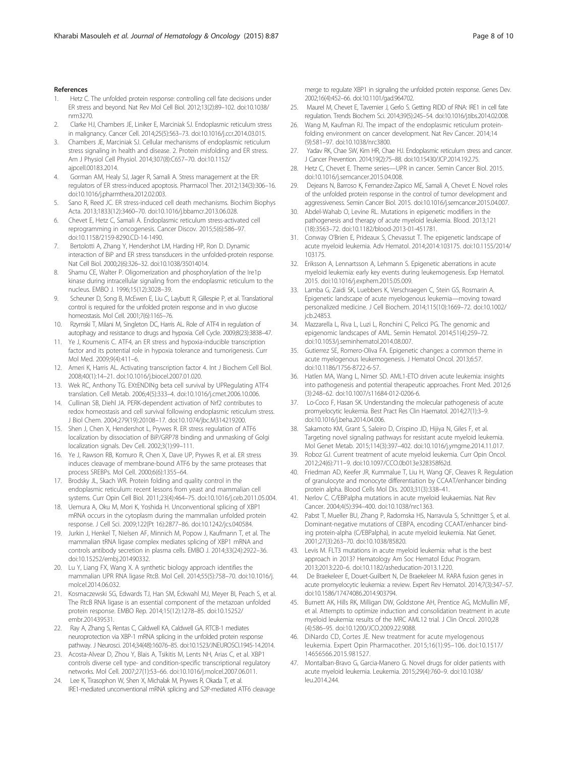#### <span id="page-7-0"></span>References

- 1. Hetz C. The unfolded protein response: controlling cell fate decisions under ER stress and beyond. Nat Rev Mol Cell Biol. 2012;13(2):89–102. doi:[10.1038/](http://dx.doi.org/10.1038/nrm3270) [nrm3270](http://dx.doi.org/10.1038/nrm3270).
- 2. Clarke HJ, Chambers JE, Liniker E, Marciniak SJ. Endoplasmic reticulum stress in malignancy. Cancer Cell. 2014;25(5):563–73. doi:[10.1016/j.ccr.2014.03.015.](http://dx.doi.org/10.1016/j.ccr.2014.03.015)
- 3. Chambers JE, Marciniak SJ. Cellular mechanisms of endoplasmic reticulum stress signaling in health and disease. 2. Protein misfolding and ER stress. Am J Physiol Cell Physiol. 2014;307(8):C657–70. doi:[10.1152/](http://dx.doi.org/10.1152/ajpcell.00183.2014) [ajpcell.00183.2014.](http://dx.doi.org/10.1152/ajpcell.00183.2014)
- 4. Gorman AM, Healy SJ, Jager R, Samali A. Stress management at the ER: regulators of ER stress-induced apoptosis. Pharmacol Ther. 2012;134(3):306–16. doi:[10.1016/j.pharmthera.2012.02.003](http://dx.doi.org/10.1016/j.pharmthera.2012.02.003).
- 5. Sano R, Reed JC. ER stress-induced cell death mechanisms. Biochim Biophys Acta. 2013;1833(12):3460–70. doi[:10.1016/j.bbamcr.2013.06.028](http://dx.doi.org/10.1016/j.bbamcr.2013.06.028).
- 6. Chevet E, Hetz C, Samali A. Endoplasmic reticulum stress-activated cell reprogramming in oncogenesis. Cancer Discov. 2015;5(6):586–97. doi[:10.1158/2159-8290.CD-14-1490.](http://dx.doi.org/10.1158/2159-8290.CD-14-1490)
- Bertolotti A, Zhang Y, Hendershot LM, Harding HP, Ron D. Dynamic interaction of BiP and ER stress transducers in the unfolded-protein response. Nat Cell Biol. 2000;2(6):326–32. doi:[10.1038/35014014.](http://dx.doi.org/10.1038/35014014)
- 8. Shamu CE, Walter P. Oligomerization and phosphorylation of the Ire1p kinase during intracellular signaling from the endoplasmic reticulum to the nucleus. EMBO J. 1996;15(12):3028–39.
- 9. Scheuner D, Song B, McEwen E, Liu C, Laybutt R, Gillespie P, et al. Translational control is required for the unfolded protein response and in vivo glucose homeostasis. Mol Cell. 2001;7(6):1165–76.
- 10. Rzymski T, Milani M, Singleton DC, Harris AL. Role of ATF4 in regulation of autophagy and resistance to drugs and hypoxia. Cell Cycle. 2009;8(23):3838–47.
- 11. Ye J, Koumenis C. ATF4, an ER stress and hypoxia-inducible transcription factor and its potential role in hypoxia tolerance and tumorigenesis. Curr Mol Med. 2009;9(4):411–6.
- 12. Ameri K, Harris AL. Activating transcription factor 4. Int J Biochem Cell Biol. 2008;40(1):14–21. doi[:10.1016/j.biocel.2007.01.020.](http://dx.doi.org/10.1016/j.biocel.2007.01.020)
- 13. Wek RC, Anthony TG. EXtENDINg beta cell survival by UPRegulating ATF4 translation. Cell Metab. 2006;4(5):333–4. doi[:10.1016/j.cmet.2006.10.006.](http://dx.doi.org/10.1016/j.cmet.2006.10.006)
- 14. Cullinan SB, Diehl JA. PERK-dependent activation of Nrf2 contributes to redox homeostasis and cell survival following endoplasmic reticulum stress. J Biol Chem. 2004;279(19):20108–17. doi:[10.1074/jbc.M314219200.](http://dx.doi.org/10.1074/jbc.M314219200)
- 15. Shen J, Chen X, Hendershot L, Prywes R. ER stress regulation of ATF6 localization by dissociation of BiP/GRP78 binding and unmasking of Golgi localization signals. Dev Cell. 2002;3(1):99–111.
- 16. Ye J, Rawson RB, Komuro R, Chen X, Dave UP, Prywes R, et al. ER stress induces cleavage of membrane-bound ATF6 by the same proteases that process SREBPs. Mol Cell. 2000;6(6):1355–64.
- 17. Brodsky JL, Skach WR. Protein folding and quality control in the endoplasmic reticulum: recent lessons from yeast and mammalian cell systems. Curr Opin Cell Biol. 2011;23(4):464–75. doi:[10.1016/j.ceb.2011.05.004](http://dx.doi.org/10.1016/j.ceb.2011.05.004).
- 18. Uemura A, Oku M, Mori K, Yoshida H. Unconventional splicing of XBP1 mRNA occurs in the cytoplasm during the mammalian unfolded protein response. J Cell Sci. 2009;122(Pt 16):2877–86. doi[:10.1242/jcs.040584](http://dx.doi.org/10.1242/jcs.040584).
- 19. Jurkin J, Henkel T, Nielsen AF, Minnich M, Popow J, Kaufmann T, et al. The mammalian tRNA ligase complex mediates splicing of XBP1 mRNA and controls antibody secretion in plasma cells. EMBO J. 2014;33(24):2922–36. doi:10.15252/embj.201490332.
- 20. Lu Y, Liang FX, Wang X. A synthetic biology approach identifies the mammalian UPR RNA ligase RtcB. Mol Cell. 2014;55(5):758–70. doi[:10.1016/j.](http://dx.doi.org/10.1016/j.molcel.2014.06.032) [molcel.2014.06.032](http://dx.doi.org/10.1016/j.molcel.2014.06.032).
- 21. Kosmaczewski SG, Edwards TJ, Han SM, Eckwahl MJ, Meyer BI, Peach S, et al. The RtcB RNA ligase is an essential component of the metazoan unfolded protein response. EMBO Rep. 2014;15(12):1278–85. doi:10.15252/ embr.201439531.
- 22. Ray A, Zhang S, Rentas C, Caldwell KA, Caldwell GA. RTCB-1 mediates neuroprotection via XBP-1 mRNA splicing in the unfolded protein response pathway. J Neurosci. 2014;34(48):16076–85. doi[:10.1523/JNEUROSCI.1945-14.2014](http://dx.doi.org/10.1523/JNEUROSCI.1945-14.2014).
- 23. Acosta-Alvear D, Zhou Y, Blais A, Tsikitis M, Lents NH, Arias C, et al. XBP1 controls diverse cell type- and condition-specific transcriptional regulatory networks. Mol Cell. 2007;27(1):53–66. doi[:10.1016/j.molcel.2007.06.011](http://dx.doi.org/10.1016/j.molcel.2007.06.011).
- 24. Lee K, Tirasophon W, Shen X, Michalak M, Prywes R, Okada T, et al. IRE1-mediated unconventional mRNA splicing and S2P-mediated ATF6 cleavage

merge to regulate XBP1 in signaling the unfolded protein response. Genes Dev. 2002;16(4):452–66. doi:[10.1101/gad.964702](http://dx.doi.org/10.1101/gad.964702).

- 25. Maurel M, Chevet E, Tavernier J, Gerlo S. Getting RIDD of RNA: IRE1 in cell fate regulation. Trends Biochem Sci. 2014;39(5):245–54. doi[:10.1016/j.tibs.2014.02.008](http://dx.doi.org/10.1016/j.tibs.2014.02.008).
- 26. Wang M, Kaufman RJ. The impact of the endoplasmic reticulum proteinfolding environment on cancer development. Nat Rev Cancer. 2014;14 (9):581–97. doi[:10.1038/nrc3800.](http://dx.doi.org/10.1038/nrc3800)
- Yadav RK, Chae SW, Kim HR, Chae HJ. Endoplasmic reticulum stress and cancer. J Cancer Prevention. 2014;19(2):75–88. doi:10.15430/JCP.2014.19.2.75.
- 28. Hetz C, Chevet E. Theme series—UPR in cancer. Semin Cancer Biol. 2015. doi[:10.1016/j.semcancer.2015.04.008.](http://dx.doi.org/10.1016/j.semcancer.2015.04.008)
- 29. Dejeans N, Barroso K, Fernandez-Zapico ME, Samali A, Chevet E. Novel roles of the unfolded protein response in the control of tumor development and aggressiveness. Semin Cancer Biol. 2015. doi[:10.1016/j.semcancer.2015.04.007.](http://dx.doi.org/10.1016/j.semcancer.2015.04.007)
- 30. Abdel-Wahab O, Levine RL. Mutations in epigenetic modifiers in the pathogenesis and therapy of acute myeloid leukemia. Blood. 2013;121 (18):3563–72. doi[:10.1182/blood-2013-01-451781](http://dx.doi.org/10.1182/blood-2013-01-451781).
- 31. Conway O'Brien E, Prideaux S, Chevassut T. The epigenetic landscape of acute myeloid leukemia. Adv Hematol. 2014;2014:103175. doi:[10.1155/2014/](http://dx.doi.org/10.1155/2014/103175) [103175](http://dx.doi.org/10.1155/2014/103175).
- 32. Eriksson A, Lennartsson A, Lehmann S. Epigenetic aberrations in acute myeloid leukemia: early key events during leukemogenesis. Exp Hematol. 2015. doi[:10.1016/j.exphem.2015.05.009](http://dx.doi.org/10.1016/j.exphem.2015.05.009).
- 33. Lamba G, Zaidi SK, Luebbers K, Verschraegen C, Stein GS, Rosmarin A. Epigenetic landscape of acute myelogenous leukemia—moving toward personalized medicine. J Cell Biochem. 2014;115(10):1669–72. doi[:10.1002/](http://dx.doi.org/10.1002/jcb.24853) [jcb.24853](http://dx.doi.org/10.1002/jcb.24853).
- 34. Mazzarella L, Riva L, Luzi L, Ronchini C, Pelicci PG. The genomic and epigenomic landscapes of AML. Semin Hematol. 2014;51(4):259–72. doi[:10.1053/j.seminhematol.2014.08.007.](http://dx.doi.org/10.1053/j.seminhematol.2014.08.007)
- 35. Gutierrez SE, Romero-Oliva FA. Epigenetic changes: a common theme in acute myelogenous leukemogenesis. J Hematol Oncol. 2013;6:57. doi[:10.1186/1756-8722-6-57.](http://dx.doi.org/10.1186/1756-8722-6-57)
- 36. Hatlen MA, Wang L, Nimer SD. AML1-ETO driven acute leukemia: insights into pathogenesis and potential therapeutic approaches. Front Med. 2012;6 (3):248–62. doi[:10.1007/s11684-012-0206-6.](http://dx.doi.org/10.1007/s11684-012-0206-6)
- 37. Lo-Coco F, Hasan SK. Understanding the molecular pathogenesis of acute promyelocytic leukemia. Best Pract Res Clin Haematol. 2014;27(1):3–9. doi:[10.1016/j.beha.2014.04.006.](http://dx.doi.org/10.1016/j.beha.2014.04.006)
- 38. Sakamoto KM, Grant S, Saleiro D, Crispino JD, Hijiya N, Giles F, et al. Targeting novel signaling pathways for resistant acute myeloid leukemia. Mol Genet Metab. 2015;114(3):397–402. doi[:10.1016/j.ymgme.2014.11.017](http://dx.doi.org/10.1016/j.ymgme.2014.11.017).
- 39. Roboz GJ. Current treatment of acute myeloid leukemia. Curr Opin Oncol. 2012;24(6):711–9. doi:[10.1097/CCO.0b013e328358f62d.](http://dx.doi.org/10.1097/CCO.0b013e328358f62d)
- 40. Friedman AD, Keefer JR, Kummalue T, Liu H, Wang QF, Cleaves R. Regulation of granulocyte and monocyte differentiation by CCAAT/enhancer binding protein alpha. Blood Cells Mol Dis. 2003;31(3):338–41.
- 41. Nerlov C. C/EBPalpha mutations in acute myeloid leukaemias. Nat Rev Cancer. 2004;4(5):394–400. doi:[10.1038/nrc1363.](http://dx.doi.org/10.1038/nrc1363)
- 42. Pabst T, Mueller BU, Zhang P, Radomska HS, Narravula S, Schnittger S, et al. Dominant-negative mutations of CEBPA, encoding CCAAT/enhancer binding protein-alpha (C/EBPalpha), in acute myeloid leukemia. Nat Genet. 2001;27(3):263–70. doi:[10.1038/85820](http://dx.doi.org/10.1038/85820).
- 43. Levis M. FLT3 mutations in acute myeloid leukemia: what is the best approach in 2013? Hematology Am Soc Hematol Educ Program. 2013;2013:220–6. doi[:10.1182/asheducation-2013.1.220](http://dx.doi.org/10.1182/asheducation-2013.1.220).
- 44. De Braekeleer E, Douet-Guilbert N, De Braekeleer M. RARA fusion genes in acute promyelocytic leukemia: a review. Expert Rev Hematol. 2014;7(3):347–57. doi:[10.1586/17474086.2014.903794](http://dx.doi.org/10.1586/17474086.2014.903794).
- 45. Burnett AK, Hills RK, Milligan DW, Goldstone AH, Prentice AG, McMullin MF, et al. Attempts to optimize induction and consolidation treatment in acute myeloid leukemia: results of the MRC AML12 trial. J Clin Oncol. 2010;28 (4):586–95. doi[:10.1200/JCO.2009.22.9088](http://dx.doi.org/10.1200/JCO.2009.22.9088).
- 46. DiNardo CD, Cortes JE. New treatment for acute myelogenous leukemia. Expert Opin Pharmacother. 2015;16(1):95–106. doi:[10.1517/](http://dx.doi.org/10.1517/14656566.2015.981527) [14656566.2015.981527](http://dx.doi.org/10.1517/14656566.2015.981527).
- 47. Montalban-Bravo G, Garcia-Manero G. Novel drugs for older patients with acute myeloid leukemia. Leukemia. 2015;29(4):760–9. doi:[10.1038/](http://dx.doi.org/10.1038/leu.2014.244) [leu.2014.244.](http://dx.doi.org/10.1038/leu.2014.244)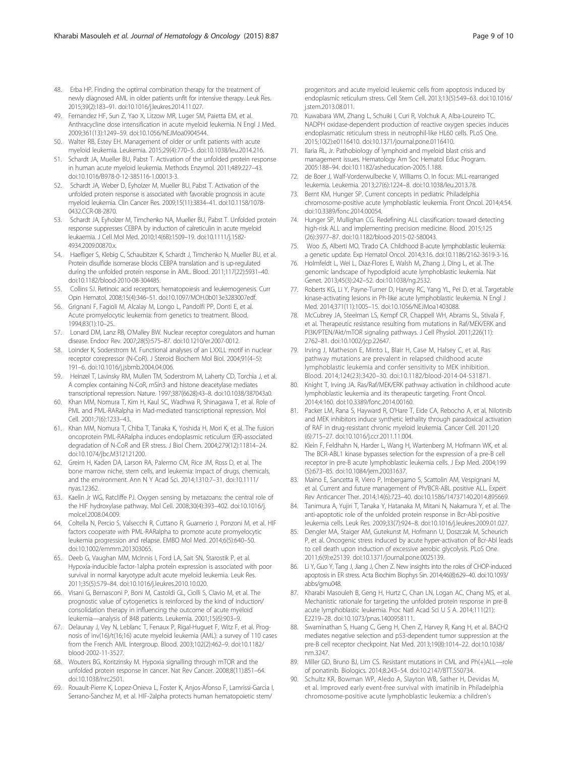- <span id="page-8-0"></span>48. Erba HP. Finding the optimal combination therapy for the treatment of newly diagnosed AML in older patients unfit for intensive therapy. Leuk Res. 2015;39(2):183–91. doi[:10.1016/j.leukres.2014.11.027](http://dx.doi.org/10.1016/j.leukres.2014.11.027).
- 49. Fernandez HF, Sun Z, Yao X, Litzow MR, Luger SM, Paietta EM, et al. Anthracycline dose intensification in acute myeloid leukemia. N Engl J Med. 2009;361(13):1249–59. doi[:10.1056/NEJMoa0904544.](http://dx.doi.org/10.1056/NEJMoa0904544)
- 50. Walter RB, Estey EH. Management of older or unfit patients with acute myeloid leukemia. Leukemia. 2015;29(4):770–5. doi:[10.1038/leu.2014.216.](http://dx.doi.org/10.1038/leu.2014.216)
- 51. Schardt JA, Mueller BU, Pabst T. Activation of the unfolded protein response in human acute myeloid leukemia. Methods Enzymol. 2011;489:227–43. doi[:10.1016/B978-0-12-385116-1.00013-3](http://dx.doi.org/10.1016/B978-0-12-385116-1.00013-3).
- 52. Schardt JA, Weber D, Eyholzer M, Mueller BU, Pabst T. Activation of the unfolded protein response is associated with favorable prognosis in acute myeloid leukemia. Clin Cancer Res. 2009;15(11):3834–41. doi[:10.1158/1078-](http://dx.doi.org/10.1158/1078-0432.CCR-08-2870) [0432.CCR-08-2870](http://dx.doi.org/10.1158/1078-0432.CCR-08-2870).
- 53. Schardt JA, Eyholzer M, Timchenko NA, Mueller BU, Pabst T. Unfolded protein response suppresses CEBPA by induction of calreticulin in acute myeloid leukaemia. J Cell Mol Med. 2010;14(6B):1509–19. doi:[10.1111/j.1582-](http://dx.doi.org/10.1111/j.1582-4934.2009.00870.x) [4934.2009.00870.x](http://dx.doi.org/10.1111/j.1582-4934.2009.00870.x).
- 54. Haefliger S, Klebig C, Schaubitzer K, Schardt J, Timchenko N, Mueller BU, et al. Protein disulfide isomerase blocks CEBPA translation and is up-regulated during the unfolded protein response in AML. Blood. 2011;117(22):5931–40. doi:[10.1182/blood-2010-08-304485](http://dx.doi.org/10.1182/blood-2010-08-304485).
- 55. Collins SJ. Retinoic acid receptors, hematopoiesis and leukemogenesis. Curr Opin Hematol. 2008;15(4):346–51. doi[:10.1097/MOH.0b013e3283007edf.](http://dx.doi.org/10.1097/MOH.0b013e3283007edf)
- 56. Grignani F, Fagioli M, Alcalay M, Longo L, Pandolfi PP, Donti E, et al. Acute promyelocytic leukemia: from genetics to treatment. Blood. 1994;83(1):10–25.
- 57. Lonard DM, Lanz RB, O'Malley BW. Nuclear receptor coregulators and human disease. Endocr Rev. 2007;28(5):575–87. doi:[10.1210/er.2007-0012](http://dx.doi.org/10.1210/er.2007-0012).
- 58. Loinder K, Soderstrom M. Functional analyses of an LXXLL motif in nuclear receptor corepressor (N-CoR). J Steroid Biochem Mol Biol. 2004;91(4–5): 191–6. doi:[10.1016/j.jsbmb.2004.04.006](http://dx.doi.org/10.1016/j.jsbmb.2004.04.006).
- 59. Heinzel T, Lavinsky RM, Mullen TM, Soderstrom M, Laherty CD, Torchia J, et al. A complex containing N-CoR, mSin3 and histone deacetylase mediates transcriptional repression. Nature. 1997;387(6628):43–8. doi:[10.1038/387043a0](http://dx.doi.org/10.1038/387043a0).
- 60. Khan MM, Nomura T, Kim H, Kaul SC, Wadhwa R, Shinagawa T, et al. Role of PML and PML-RARalpha in Mad-mediated transcriptional repression. Mol Cell. 2001;7(6):1233–43.
- 61. Khan MM, Nomura T, Chiba T, Tanaka K, Yoshida H, Mori K, et al. The fusion oncoprotein PML-RARalpha induces endoplasmic reticulum (ER)-associated degradation of N-CoR and ER stress. J Biol Chem. 2004;279(12):11814–24. doi[:10.1074/jbc.M312121200.](http://dx.doi.org/10.1074/jbc.M312121200)
- 62. Greim H, Kaden DA, Larson RA, Palermo CM, Rice JM, Ross D, et al. The bone marrow niche, stem cells, and leukemia: impact of drugs, chemicals, and the environment. Ann N Y Acad Sci. 2014;1310:7–31. doi[:10.1111/](http://dx.doi.org/10.1111/nyas.12362) [nyas.12362.](http://dx.doi.org/10.1111/nyas.12362)
- 63. Kaelin Jr WG, Ratcliffe PJ. Oxygen sensing by metazoans: the central role of the HIF hydroxylase pathway. Mol Cell. 2008;30(4):393–402. doi[:10.1016/j.](http://dx.doi.org/10.1016/j.molcel.2008.04.009) [molcel.2008.04.009](http://dx.doi.org/10.1016/j.molcel.2008.04.009).
- 64. Coltella N, Percio S, Valsecchi R, Cuttano R, Guarnerio J, Ponzoni M, et al. HIF factors cooperate with PML-RARalpha to promote acute promyelocytic leukemia progression and relapse. EMBO Mol Med. 2014;6(5):640–50. doi[:10.1002/emmm.201303065.](http://dx.doi.org/10.1002/emmm.201303065)
- 65. Deeb G, Vaughan MM, McInnis I, Ford LA, Sait SN, Starostik P, et al. Hypoxia-inducible factor-1alpha protein expression is associated with poor survival in normal karyotype adult acute myeloid leukemia. Leuk Res. 2011;35(5):579–84. doi:[10.1016/j.leukres.2010.10.020.](http://dx.doi.org/10.1016/j.leukres.2010.10.020)
- 66. Visani G, Bernasconi P, Boni M, Castoldi GL, Ciolli S, Clavio M, et al. The prognostic value of cytogenetics is reinforced by the kind of induction/ consolidation therapy in influencing the outcome of acute myeloid leukemia—analysis of 848 patients. Leukemia. 2001;15(6):903–9.
- 67. Delaunay J, Vey N, Leblanc T, Fenaux P, Rigal-Huguet F, Witz F, et al. Prognosis of inv(16)/t(16;16) acute myeloid leukemia (AML): a survey of 110 cases from the French AML Intergroup. Blood. 2003;102(2):462–9. doi:[10.1182/](http://dx.doi.org/10.1182/blood-2002-11-3527) [blood-2002-11-3527.](http://dx.doi.org/10.1182/blood-2002-11-3527)
- 68. Wouters BG, Koritzinsky M. Hypoxia signalling through mTOR and the unfolded protein response in cancer. Nat Rev Cancer. 2008;8(11):851–64. doi[:10.1038/nrc2501.](http://dx.doi.org/10.1038/nrc2501)
- 69. Rouault-Pierre K, Lopez-Onieva L, Foster K, Anjos-Afonso F, Lamrissi-Garcia I, Serrano-Sanchez M, et al. HIF-2alpha protects human hematopoietic stem/

progenitors and acute myeloid leukemic cells from apoptosis induced by endoplasmic reticulum stress. Cell Stem Cell. 2013;13(5):549–63. doi[:10.1016/](http://dx.doi.org/10.1016/j.stem.2013.08.011) [j.stem.2013.08.011.](http://dx.doi.org/10.1016/j.stem.2013.08.011)

- 70. Kuwabara WM, Zhang L, Schuiki I, Curi R, Volchuk A, Alba-Loureiro TC. NADPH oxidase-dependent production of reactive oxygen species induces endoplasmatic reticulum stress in neutrophil-like HL60 cells. PLoS One. 2015;10(2):e0116410. doi:[10.1371/journal.pone.0116410](http://dx.doi.org/10.1371/journal.pone.0116410).
- 71. Ilaria RL, Jr. Pathobiology of lymphoid and myeloid blast crisis and management issues. Hematology Am Soc Hematol Educ Program. 2005:188–94. doi:[10.1182/asheducation-2005.1.188.](http://dx.doi.org/10.1182/asheducation-2005.1.188)
- 72. de Boer J, Walf-Vorderwulbecke V, Williams O. In focus: MLL-rearranged leukemia. Leukemia. 2013;27(6):1224–8. doi[:10.1038/leu.2013.78.](http://dx.doi.org/10.1038/leu.2013.78)
- 73. Bernt KM, Hunger SP. Current concepts in pediatric Philadelphia chromosome-positive acute lymphoblastic leukemia. Front Oncol. 2014;4:54. doi[:10.3389/fonc.2014.00054.](http://dx.doi.org/10.3389/fonc.2014.00054)
- 74. Hunger SP, Mullighan CG. Redefining ALL classification: toward detecting high-risk ALL and implementing precision medicine. Blood. 2015;125 (26):3977–87. doi[:10.1182/blood-2015-02-580043](http://dx.doi.org/10.1182/blood-2015-02-580043).
- 75. Woo JS, Alberti MO, Tirado CA. Childhood B-acute lymphoblastic leukemia: a genetic update. Exp Hematol Oncol. 2014;3:16. doi:[10.1186/2162-3619-3-16.](http://dx.doi.org/10.1186/2162-3619-3-16)
- 76. Holmfeldt L, Wei L, Diaz-Flores E, Walsh M, Zhang J, Ding L, et al. The genomic landscape of hypodiploid acute lymphoblastic leukemia. Nat Genet. 2013;45(3):242–52. doi[:10.1038/ng.2532](http://dx.doi.org/10.1038/ng.2532).
- 77. Roberts KG, Li Y, Payne-Turner D, Harvey RC, Yang YL, Pei D, et al. Targetable kinase-activating lesions in Ph-like acute lymphoblastic leukemia. N Engl J Med. 2014;371(11):1005–15. doi[:10.1056/NEJMoa1403088.](http://dx.doi.org/10.1056/NEJMoa1403088)
- 78. McCubrey JA, Steelman LS, Kempf CR, Chappell WH, Abrams SL, Stivala F, et al. Therapeutic resistance resulting from mutations in Raf/MEK/ERK and PI3K/PTEN/Akt/mTOR signaling pathways. J Cell Physiol. 2011;226(11): 2762–81. doi[:10.1002/jcp.22647](http://dx.doi.org/10.1002/jcp.22647).
- 79. Irving J, Matheson E, Minto L, Blair H, Case M, Halsey C, et al. Ras pathway mutations are prevalent in relapsed childhood acute lymphoblastic leukemia and confer sensitivity to MEK inhibition. Blood. 2014;124(23):3420–30. doi:[10.1182/blood-2014-04-531871](http://dx.doi.org/10.1182/blood-2014-04-531871).
- 80. Knight T, Irving JA. Ras/Raf/MEK/ERK pathway activation in childhood acute lymphoblastic leukemia and its therapeutic targeting. Front Oncol. 2014;4:160. doi[:10.3389/fonc.2014.00160.](http://dx.doi.org/10.3389/fonc.2014.00160)
- 81. Packer LM, Rana S, Hayward R, O'Hare T, Eide CA, Rebocho A, et al. Nilotinib and MEK inhibitors induce synthetic lethality through paradoxical activation of RAF in drug-resistant chronic myeloid leukemia. Cancer Cell. 2011;20 (6):715–27. doi[:10.1016/j.ccr.2011.11.004.](http://dx.doi.org/10.1016/j.ccr.2011.11.004)
- 82. Klein F, Feldhahn N, Harder L, Wang H, Wartenberg M, Hofmann WK, et al. The BCR-ABL1 kinase bypasses selection for the expression of a pre-B cell receptor in pre-B acute lymphoblastic leukemia cells. J Exp Med. 2004;199 (5):673–85. doi[:10.1084/jem.20031637.](http://dx.doi.org/10.1084/jem.20031637)
- 83. Maino E, Sancetta R, Viero P, Imbergamo S, Scattolin AM, Vespignani M, et al. Current and future management of Ph/BCR-ABL positive ALL. Expert Rev Anticancer Ther. 2014;14(6):723–40. doi:[10.1586/14737140.2014.895669](http://dx.doi.org/10.1586/14737140.2014.895669).
- 84. Tanimura A, Yujiri T, Tanaka Y, Hatanaka M, Mitani N, Nakamura Y, et al. The anti-apoptotic role of the unfolded protein response in Bcr-Abl-positive leukemia cells. Leuk Res. 2009;33(7):924–8. doi:[10.1016/j.leukres.2009.01.027.](http://dx.doi.org/10.1016/j.leukres.2009.01.027)
- 85. Dengler MA, Staiger AM, Gutekunst M, Hofmann U, Doszczak M, Scheurich P, et al. Oncogenic stress induced by acute hyper-activation of Bcr-Abl leads to cell death upon induction of excessive aerobic glycolysis. PLoS One. 2011;6(9):e25139. doi[:10.1371/journal.pone.0025139](http://dx.doi.org/10.1371/journal.pone.0025139).
- 86. Li Y, Guo Y, Tang J, Jiang J, Chen Z. New insights into the roles of CHOP-induced apoptosis in ER stress. Acta Biochim Biophys Sin. 2014;46(8):629–40. doi:[10.1093/](http://dx.doi.org/10.1093/abbs/gmu048) abbs/amu048.
- 87. Kharabi Masouleh B, Geng H, Hurtz C, Chan LN, Logan AC, Chang MS, et al. Mechanistic rationale for targeting the unfolded protein response in pre-B acute lymphoblastic leukemia. Proc Natl Acad Sci U S A. 2014;111(21): E2219–28. doi:[10.1073/pnas.1400958111.](http://dx.doi.org/10.1073/pnas.1400958111)
- 88. Swaminathan S, Huang C, Geng H, Chen Z, Harvey R, Kang H, et al. BACH2 mediates negative selection and p53-dependent tumor suppression at the pre-B cell receptor checkpoint. Nat Med. 2013;19(8):1014–22. doi[:10.1038/](http://dx.doi.org/10.1038/nm.3247) [nm.3247](http://dx.doi.org/10.1038/nm.3247).
- 89. Miller GD, Bruno BJ, Lim CS. Resistant mutations in CML and Ph(+)ALL—role of ponatinib. Biologics. 2014;8:243–54. doi[:10.2147/BTT.S50734](http://dx.doi.org/10.2147/BTT.S50734).
- 90. Schultz KR, Bowman WP, Aledo A, Slayton WB, Sather H, Devidas M, et al. Improved early event-free survival with imatinib in Philadelphia chromosome-positive acute lymphoblastic leukemia: a children's